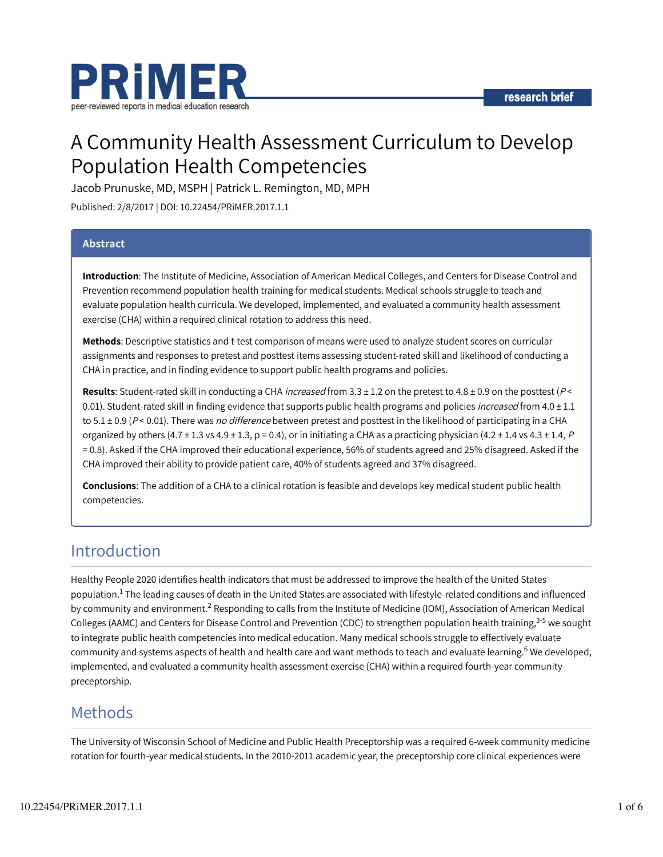

# A Community Health Assessment Curriculum to Develop Population Health Competencies

Jacob Prunuske, MD, MSPH | Patrick L. Remington, MD, MPH

Published: 2/8/2017 | DOI: 10.22454/PRiMER.2017.1.1

### Abstract

Introduction: The Institute of Medicine, Association of American Medical Colleges, and Centers for Disease Control and Prevention recommend population health training for medical students. Medical schools struggle to teach and evaluate population health curricula. We developed, implemented, and evaluated a community health assessment exercise (CHA) within a required clinical rotation to address this need.

Methods: Descriptive statistics and t-test comparison of means were used to analyze student scores on curricular assignments and responses to pretest and posttest items assessing student-rated skill and likelihood of conducting a CHA in practice, and in finding evidence to support public health programs and policies.

Results: Student-rated skill in conducting a CHA increased from  $3.3 \pm 1.2$  on the pretest to 4.8  $\pm$  0.9 on the posttest ( $P$  < 0.01). Student-rated skill in finding evidence that supports public health programs and policies *increased* from  $4.0 \pm 1.1$ to  $5.1 \pm 0.9$  (P < 0.01). There was no difference between pretest and posttest in the likelihood of participating in a CHA organized by others  $(4.7 \pm 1.3 \text{ vs } 4.9 \pm 1.3, p = 0.4)$ , or in initiating a CHA as a practicing physician  $(4.2 \pm 1.4 \text{ vs } 4.3 \pm 1.4, P)$ = 0.8). Asked if the CHA improved their educational experience, 56% of students agreed and 25% disagreed. Asked if the CHA improved their ability to provide patient care, 40% of students agreed and 37% disagreed.

Conclusions: The addition of a CHA to a clinical rotation is feasible and develops key medical student public health competencies.

## Introduction

Healthy People 2020 identifies health indicators that must be addressed to improve the health of the United States population. $^1$  The leading causes of death in the United States are associated with lifestyle-related conditions and influenced by community and environment. $^2$  Responding to calls from the Institute of Medicine (IOM), Association of American Medical Colleges (AAMC) and Centers for Disease Control and Prevention (CDC) to strengthen population health training,<sup>3-5</sup> we sought to integrate public health competencies into medical education. Many medical schools struggle to effectively evaluate community and systems aspects of health and health care and want methods to teach and evaluate learning.<sup>6</sup> We developed, implemented, and evaluated a community health assessment exercise (CHA) within a required fourth-year community preceptorship.

## Methods

The University of Wisconsin School of Medicine and Public Health Preceptorship was a required 6-week community medicine rotation for fourth-year medical students. In the 2010-2011 academic year, the preceptorship core clinical experiences were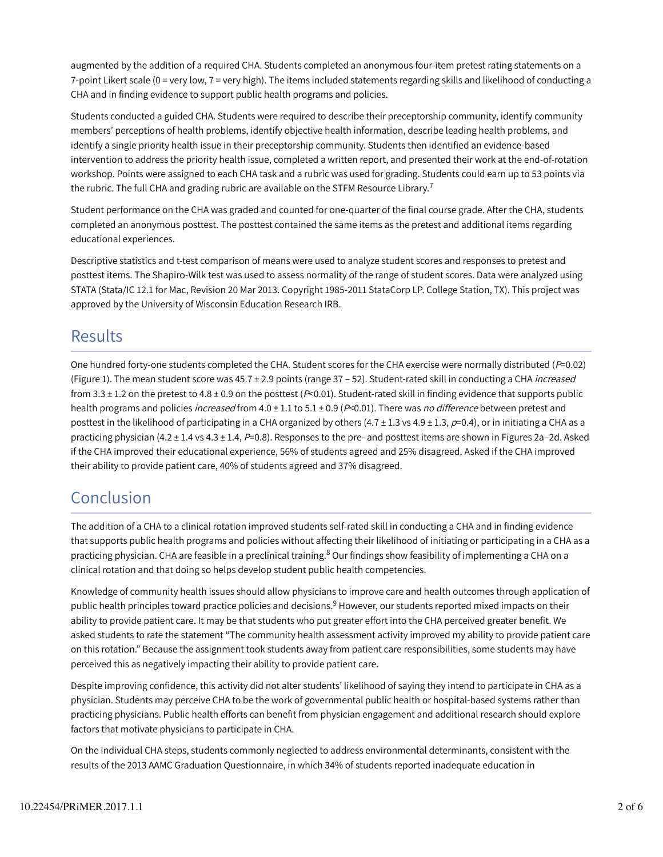augmented by the addition of a required CHA. Students completed an anonymous four-item pretest rating statements on a 7-point Likert scale (0 = very low, 7 = very high). The items included statements regarding skills and likelihood of conducting a CHA and in finding evidence to support public health programs and policies.

Students conducted a guided CHA. Students were required to describe their preceptorship community, identify community members' perceptions of health problems, identify objective health information, describe leading health problems, and identify a single priority health issue in their preceptorship community. Students then identified an evidence-based intervention to address the priority health issue, completed a written report, and presented their work at the end-of-rotation workshop. Points were assigned to each CHA task and a rubric was used for grading. Students could earn up to 53 points via the rubric. The full CHA and grading rubric are available on the STFM Resource Library. $^7$ 

Student performance on the CHA was graded and counted for one-quarter of the final course grade. After the CHA, students completed an anonymous posttest. The posttest contained the same items as the pretest and additional items regarding educational experiences.

Descriptive statistics and t-test comparison of means were used to analyze student scores and responses to pretest and posttest items. The Shapiro-Wilk test was used to assess normality of the range of student scores. Data were analyzed using STATA (Stata/IC 12.1 for Mac, Revision 20 Mar 2013. Copyright 1985-2011 StataCorp LP. College Station, TX). This project was approved by the University of Wisconsin Education Research IRB.

## **Results**

One hundred forty-one students completed the CHA. Student scores for the CHA exercise were normally distributed ( $P=0.02$ ) (Figure 1). The mean student score was 45.7 ± 2.9 points (range 37 - 52). Student-rated skill in conducting a CHA increased from 3.3  $\pm$  1.2 on the pretest to 4.8  $\pm$  0.9 on the posttest (P<0.01). Student-rated skill in finding evidence that supports public health programs and policies *increased* from 4.0  $\pm$  1.1 to 5.1  $\pm$  0.9 ( $P$ <0.01). There was *no difference* between pretest and posttest in the likelihood of participating in a CHA organized by others  $(4.7 \pm 1.3 \text{ vs } 4.9 \pm 1.3, p=0.4)$ , or in initiating a CHA as a practicing physician (4.2  $\pm$  1.4 vs 4.3  $\pm$  1.4, P=0.8). Responses to the pre- and posttest items are shown in Figures 2a–2d. Asked if the CHA improved their educational experience, 56% of students agreed and 25% disagreed. Asked if the CHA improved their ability to provide patient care, 40% of students agreed and 37% disagreed.

## Conclusion

The addition of a CHA to a clinical rotation improved students self-rated skill in conducting a CHA and in finding evidence that supports public health programs and policies without affecting their likelihood of initiating or participating in a CHA as a practicing physician. CHA are feasible in a preclinical training.<sup>8</sup> Our findings show feasibility of implementing a CHA on a clinical rotation and that doing so helps develop student public health competencies.

Knowledge of community health issues should allow physicians to improve care and health outcomes through application of public health principles toward practice policies and decisions.<sup>9</sup> However, our students reported mixed impacts on their ability to provide patient care. It may be that students who put greater effort into the CHA perceived greater benefit. We asked students to rate the statement "The community health assessment activity improved my ability to provide patient care on this rotation." Because the assignment took students away from patient care responsibilities, some students may have perceived this as negatively impacting their ability to provide patient care.

Despite improving confidence, this activity did not alter students' likelihood of saying they intend to participate in CHA as a physician. Students may perceive CHA to be the work of governmental public health or hospital-based systems rather than practicing physicians. Public health efforts can benefit from physician engagement and additional research should explore factors that motivate physicians to participate in CHA.

On the individual CHA steps, students commonly neglected to address environmental determinants, consistent with the results of the 2013 AAMC Graduation Questionnaire, in which 34% of students reported inadequate education in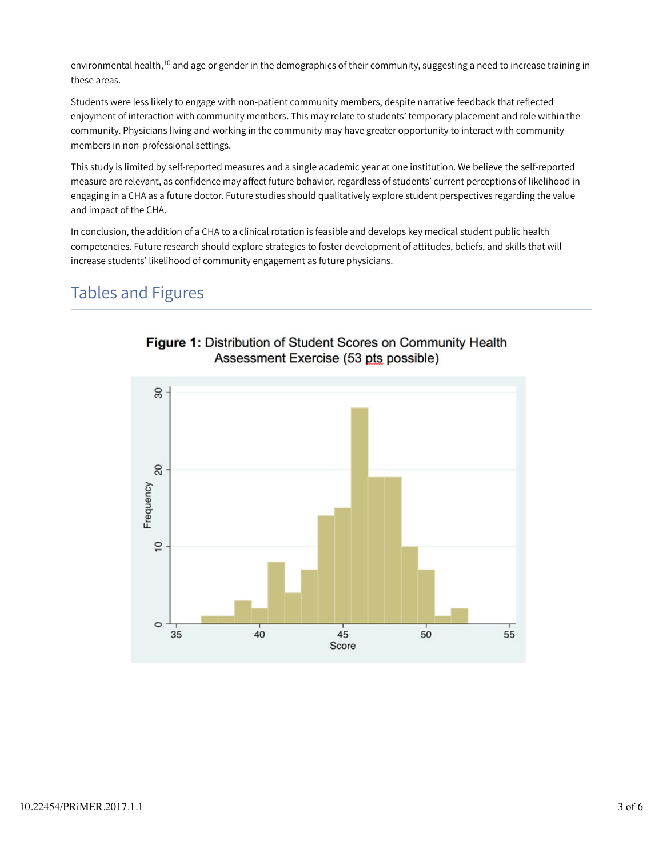environmental health, $^{10}$  and age or gender in the demographics of their community, suggesting a need to increase training in these areas.

Students were less likely to engage with non-patient community members, despite narrative feedback that reflected enjoyment of interaction with community members. This may relate to students' temporary placement and role within the community. Physicians living and working in the community may have greater opportunity to interact with community members in non-professional settings.

This study is limited by self-reported measures and a single academic year at one institution. We believe the self-reported measure are relevant, as confidence may affect future behavior, regardless of students' current perceptions of likelihood in engaging in a CHA as a future doctor. Future studies should qualitatively explore student perspectives regarding the value and impact of the CHA.

In conclusion, the addition of a CHA to a clinical rotation is feasible and develops key medical student public health competencies. Future research should explore strategies to foster development of attitudes, beliefs, and skills that will increase students' likelihood of community engagement as future physicians.

## Tables and Figures



## Figure 1: Distribution of Student Scores on Community Health Assessment Exercise (53 pts possible)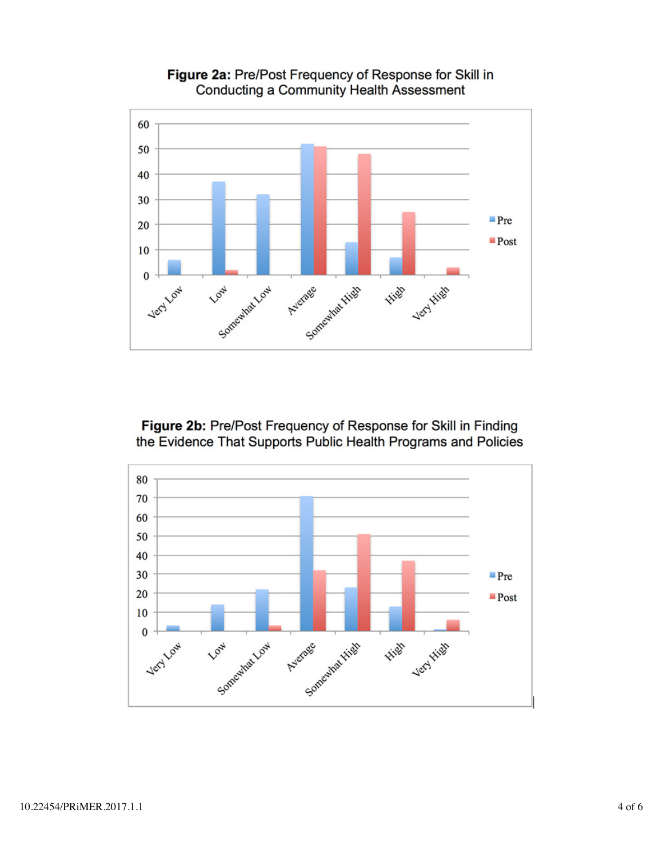

Figure 2a: Pre/Post Frequency of Response for Skill in Conducting a Community Health Assessment

Figure 2b: Pre/Post Frequency of Response for Skill in Finding the Evidence That Supports Public Health Programs and Policies

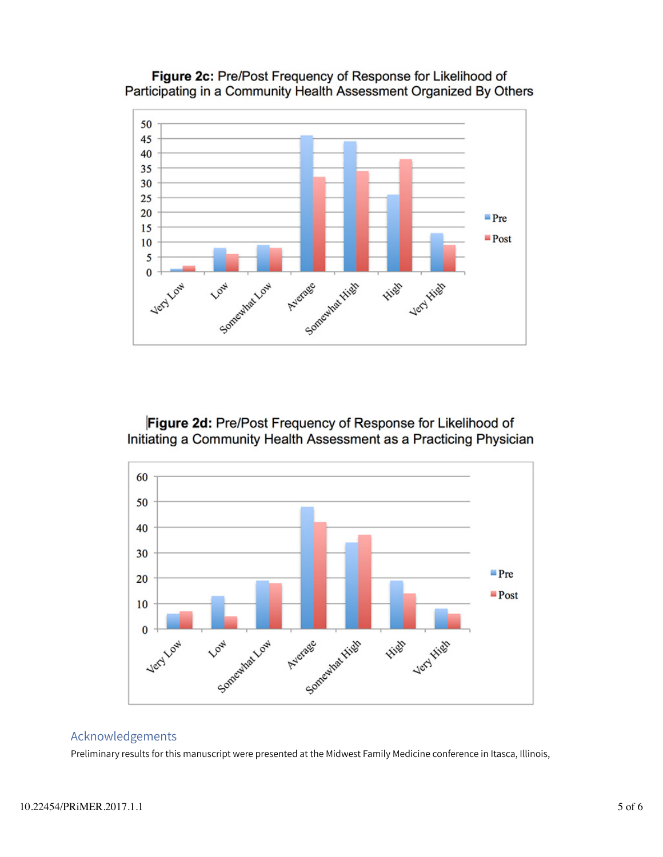





Figure 2d: Pre/Post Frequency of Response for Likelihood of Initiating a Community Health Assessment as a Practicing Physician



### Acknowledgements

Preliminary results for this manuscript were presented at the Midwest Family Medicine conference in Itasca, Illinois,